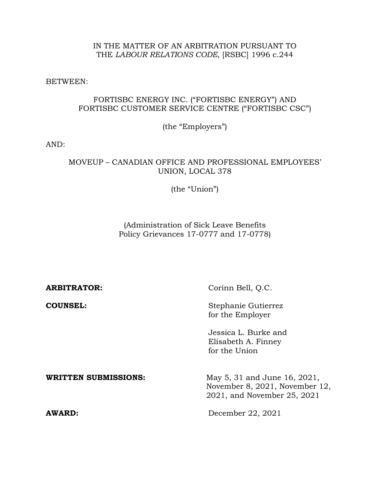### IN THE MATTER OF AN ARBITRATION PURSUANT TO THE *LABOUR RELATIONS CODE*, [RSBC] 1996 c.244

BETWEEN:

# FORTISBC ENERGY INC. ("FORTISBC ENERGY") AND FORTISBC CUSTOMER SERVICE CENTRE ("FORTISBC CSC")

(the "Employers")

AND:

### MOVEUP – CANADIAN OFFICE AND PROFESSIONAL EMPLOYEES' UNION, LOCAL 378

(the "Union")

(Administration of Sick Leave Benefits Policy Grievances 17-0777 and 17-0778)

| <b>ARBITRATOR:</b>          | Corinn Bell, O.C.                                                                             |  |  |
|-----------------------------|-----------------------------------------------------------------------------------------------|--|--|
| <b>COUNSEL:</b>             | Stephanie Gutierrez<br>for the Employer                                                       |  |  |
|                             | Jessica L. Burke and<br>Elisabeth A. Finney<br>for the Union                                  |  |  |
| <b>WRITTEN SUBMISSIONS:</b> | May 5, 31 and June 16, 2021,<br>November 8, 2021, November 12,<br>2021, and November 25, 2021 |  |  |
| AWARD:                      | December 22, 2021                                                                             |  |  |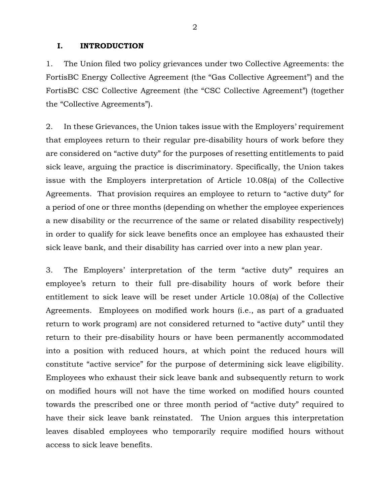#### **I. INTRODUCTION**

1. The Union filed two policy grievances under two Collective Agreements: the FortisBC Energy Collective Agreement (the "Gas Collective Agreement") and the FortisBC CSC Collective Agreement (the "CSC Collective Agreement") (together the "Collective Agreements").

2. In these Grievances, the Union takes issue with the Employers' requirement that employees return to their regular pre-disability hours of work before they are considered on "active duty" for the purposes of resetting entitlements to paid sick leave, arguing the practice is discriminatory. Specifically, the Union takes issue with the Employers interpretation of Article 10.08(a) of the Collective Agreements. That provision requires an employee to return to "active duty" for a period of one or three months (depending on whether the employee experiences a new disability or the recurrence of the same or related disability respectively) in order to qualify for sick leave benefits once an employee has exhausted their sick leave bank, and their disability has carried over into a new plan year.

3. The Employers' interpretation of the term "active duty" requires an employee's return to their full pre-disability hours of work before their entitlement to sick leave will be reset under Article 10.08(a) of the Collective Agreements. Employees on modified work hours (i.e., as part of a graduated return to work program) are not considered returned to "active duty" until they return to their pre-disability hours or have been permanently accommodated into a position with reduced hours, at which point the reduced hours will constitute "active service" for the purpose of determining sick leave eligibility. Employees who exhaust their sick leave bank and subsequently return to work on modified hours will not have the time worked on modified hours counted towards the prescribed one or three month period of "active duty" required to have their sick leave bank reinstated. The Union argues this interpretation leaves disabled employees who temporarily require modified hours without access to sick leave benefits.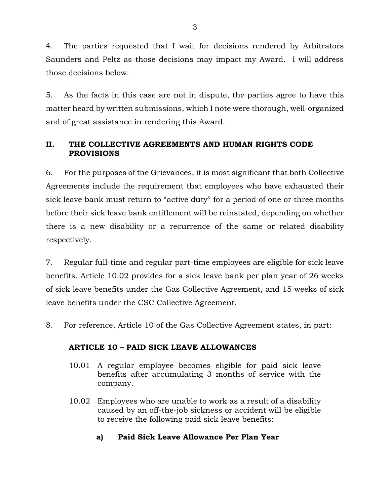4. The parties requested that I wait for decisions rendered by Arbitrators Saunders and Peltz as those decisions may impact my Award. I will address those decisions below.

5. As the facts in this case are not in dispute, the parties agree to have this matter heard by written submissions, which I note were thorough, well-organized and of great assistance in rendering this Award.

# **II. THE COLLECTIVE AGREEMENTS AND HUMAN RIGHTS CODE PROVISIONS**

6. For the purposes of the Grievances, it is most significant that both Collective Agreements include the requirement that employees who have exhausted their sick leave bank must return to "active duty" for a period of one or three months before their sick leave bank entitlement will be reinstated, depending on whether there is a new disability or a recurrence of the same or related disability respectively.

7. Regular full-time and regular part-time employees are eligible for sick leave benefits. Article 10.02 provides for a sick leave bank per plan year of 26 weeks of sick leave benefits under the Gas Collective Agreement, and 15 weeks of sick leave benefits under the CSC Collective Agreement.

8. For reference, Article 10 of the Gas Collective Agreement states, in part:

# **ARTICLE 10 – PAID SICK LEAVE ALLOWANCES**

- 10.01 A regular employee becomes eligible for paid sick leave benefits after accumulating 3 months of service with the company.
- 10.02 Employees who are unable to work as a result of a disability caused by an off-the-job sickness or accident will be eligible to receive the following paid sick leave benefits:
	- **a) Paid Sick Leave Allowance Per Plan Year**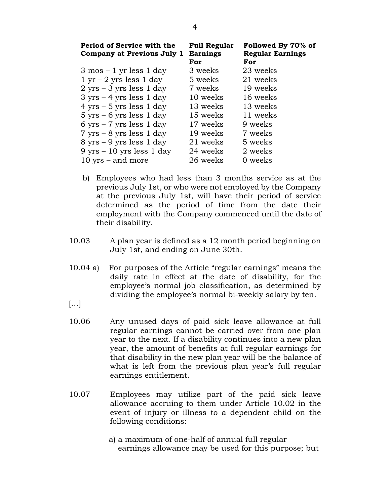| Period of Service with the<br>Company at Previous July 1 | <b>Full Regular</b><br><b>Earnings</b><br>For | Followed By 70% of<br><b>Regular Earnings</b><br>For |
|----------------------------------------------------------|-----------------------------------------------|------------------------------------------------------|
| $3 \text{ mos} - 1 \text{ yr less } 1 \text{ day}$       | 3 weeks                                       | 23 weeks                                             |
| $1 \text{ yr} - 2 \text{ yrs less } 1 \text{ day}$       | 5 weeks                                       | 21 weeks                                             |
| $2$ yrs $-3$ yrs less 1 day                              | 7 weeks                                       | 19 weeks                                             |
| $3 \text{ yrs} - 4 \text{ yrs less } 1 \text{ day}$      | 10 weeks                                      | 16 weeks                                             |
| $4 \text{ yrs} - 5 \text{ yrs less } 1 \text{ day}$      | 13 weeks                                      | 13 weeks                                             |
| $5 \text{ yrs} - 6 \text{ yrs less } 1 \text{ day}$      | 15 weeks                                      | 11 weeks                                             |
| $6 \text{ yrs} - 7 \text{ yrs less } 1 \text{ day}$      | 17 weeks                                      | 9 weeks                                              |
| $7 \text{ yrs} - 8 \text{ yrs less } 1 \text{ day}$      | 19 weeks                                      | 7 weeks                                              |
| $8 \text{ yrs} - 9 \text{ yrs less } 1 \text{ day}$      | 21 weeks                                      | 5 weeks                                              |
| $9 \text{ yrs} - 10 \text{ yrs less } 1 \text{ day}$     | 24 weeks                                      | 2 weeks                                              |
| $10$ yrs – and more                                      | 26 weeks                                      | 0 weeks                                              |

- b) Employees who had less than 3 months service as at the previous July 1st, or who were not employed by the Company at the previous July 1st, will have their period of service determined as the period of time from the date their employment with the Company commenced until the date of their disability.
- 10.03 A plan year is defined as a 12 month period beginning on July 1st, and ending on June 30th.
- 10.04 a) For purposes of the Article "regular earnings" means the daily rate in effect at the date of disability, for the employee's normal job classification, as determined by dividing the employee's normal bi-weekly salary by ten.
- $[...]$
- 10.06 Any unused days of paid sick leave allowance at full regular earnings cannot be carried over from one plan year to the next. If a disability continues into a new plan year, the amount of benefits at full regular earnings for that disability in the new plan year will be the balance of what is left from the previous plan year's full regular earnings entitlement.
- 10.07 Employees may utilize part of the paid sick leave allowance accruing to them under Article 10.02 in the event of injury or illness to a dependent child on the following conditions:
	- a) a maximum of one-half of annual full regular earnings allowance may be used for this purpose; but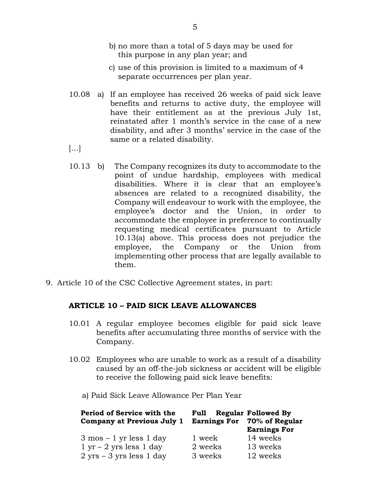- b) no more than a total of 5 days may be used for this purpose in any plan year; and
- c) use of this provision is limited to a maximum of 4 separate occurrences per plan year.
- 10.08 a) If an employee has received 26 weeks of paid sick leave benefits and returns to active duty, the employee will have their entitlement as at the previous July 1st, reinstated after 1 month's service in the case of a new disability, and after 3 months' service in the case of the same or a related disability.
- $\left[\ldots\right]$
- 10.13 b) The Company recognizes its duty to accommodate to the point of undue hardship, employees with medical disabilities. Where it is clear that an employee's absences are related to a recognized disability, the Company will endeavour to work with the employee, the employee's doctor and the Union, in order to accommodate the employee in preference to continually requesting medical certificates pursuant to Article 10.13(a) above. This process does not prejudice the employee, the Company or the Union from implementing other process that are legally available to them.
- 9. Article 10 of the CSC Collective Agreement states, in part:

## **ARTICLE 10 – PAID SICK LEAVE ALLOWANCES**

- 10.01 A regular employee becomes eligible for paid sick leave benefits after accumulating three months of service with the Company.
- 10.02 Employees who are unable to work as a result of a disability caused by an off-the-job sickness or accident will be eligible to receive the following paid sick leave benefits:
	- a) Paid Sick Leave Allowance Per Plan Year

| Period of Service with the                          | Full    | <b>Regular Followed By</b>                         |
|-----------------------------------------------------|---------|----------------------------------------------------|
| Company at Previous July 1                          |         | Earnings For 70% of Regular<br><b>Earnings For</b> |
| $3 \text{ mos} - 1 \text{ yr less } 1 \text{ day}$  | 1 week  | 14 weeks                                           |
| $1 \text{ yr} - 2 \text{ yrs less } 1 \text{ day}$  | 2 weeks | 13 weeks                                           |
| $2 \text{ yrs} - 3 \text{ yrs less } 1 \text{ day}$ | 3 weeks | 12 weeks                                           |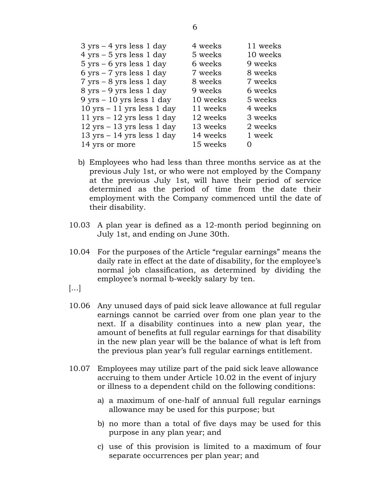| $3 \text{ yrs} - 4 \text{ yrs less } 1 \text{ day}$   | 4 weeks  | 11 weeks |
|-------------------------------------------------------|----------|----------|
| $4 \text{ yrs} - 5 \text{ yrs less } 1 \text{ day}$   | 5 weeks  | 10 weeks |
| $5 \text{ yrs} - 6 \text{ yrs less } 1 \text{ day}$   | 6 weeks  | 9 weeks  |
| $6 \text{ yrs} - 7 \text{ yrs less } 1 \text{ day}$   | 7 weeks  | 8 weeks  |
| $7 \text{ yrs} - 8 \text{ yrs less } 1 \text{ day}$   | 8 weeks  | 7 weeks  |
| $8 \text{ yrs} - 9 \text{ yrs less } 1 \text{ day}$   | 9 weeks  | 6 weeks  |
| $9 \text{ yrs} - 10 \text{ yrs less } 1 \text{ day}$  | 10 weeks | 5 weeks  |
| $10 \text{ yrs} - 11 \text{ yrs less } 1 \text{ day}$ | 11 weeks | 4 weeks  |
| $11 \text{ yrs} - 12 \text{ yrs less } 1 \text{ day}$ | 12 weeks | 3 weeks  |
| $12 \text{ yrs} - 13 \text{ yrs less } 1 \text{ day}$ | 13 weeks | 2 weeks  |
| $13 \text{ yrs} - 14 \text{ yrs less } 1 \text{ day}$ | 14 weeks | 1 week   |
| 14 yrs or more                                        | 15 weeks | $\Omega$ |

- b) Employees who had less than three months service as at the previous July 1st, or who were not employed by the Company at the previous July 1st, will have their period of service determined as the period of time from the date their employment with the Company commenced until the date of their disability.
- 10.03 A plan year is defined as a 12-month period beginning on July 1st, and ending on June 30th.
- 10.04 For the purposes of the Article "regular earnings" means the daily rate in effect at the date of disability, for the employee's normal job classification, as determined by dividing the employee's normal b-weekly salary by ten.
- $\left[\ldots\right]$
- 10.06 Any unused days of paid sick leave allowance at full regular earnings cannot be carried over from one plan year to the next. If a disability continues into a new plan year, the amount of benefits at full regular earnings for that disability in the new plan year will be the balance of what is left from the previous plan year's full regular earnings entitlement.
- 10.07 Employees may utilize part of the paid sick leave allowance accruing to them under Article 10.02 in the event of injury or illness to a dependent child on the following conditions:
	- a) a maximum of one-half of annual full regular earnings allowance may be used for this purpose; but
	- b) no more than a total of five days may be used for this purpose in any plan year; and
	- c) use of this provision is limited to a maximum of four separate occurrences per plan year; and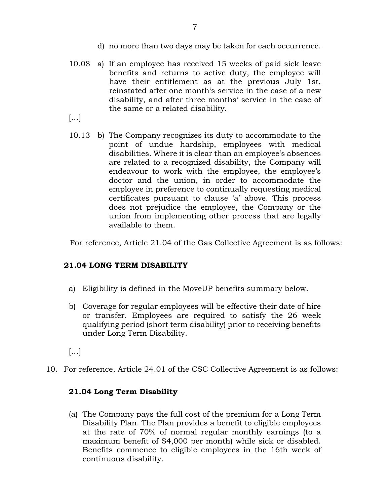- d) no more than two days may be taken for each occurrence.
- 10.08 a) If an employee has received 15 weeks of paid sick leave benefits and returns to active duty, the employee will have their entitlement as at the previous July 1st, reinstated after one month's service in the case of a new disability, and after three months' service in the case of the same or a related disability.
- […]
- 10.13 b) The Company recognizes its duty to accommodate to the point of undue hardship, employees with medical disabilities. Where it is clear than an employee's absences are related to a recognized disability, the Company will endeavour to work with the employee, the employee's doctor and the union, in order to accommodate the employee in preference to continually requesting medical certificates pursuant to clause 'a' above. This process does not prejudice the employee, the Company or the union from implementing other process that are legally available to them.

For reference, Article 21.04 of the Gas Collective Agreement is as follows:

# **21.04 LONG TERM DISABILITY**

- a) Eligibility is defined in the MoveUP benefits summary below.
- b) Coverage for regular employees will be effective their date of hire or transfer. Employees are required to satisfy the 26 week qualifying period (short term disability) prior to receiving benefits under Long Term Disability.
- […]
- 10. For reference, Article 24.01 of the CSC Collective Agreement is as follows:

## **21.04 Long Term Disability**

(a) The Company pays the full cost of the premium for a Long Term Disability Plan. The Plan provides a benefit to eligible employees at the rate of 70% of normal regular monthly earnings (to a maximum benefit of \$4,000 per month) while sick or disabled. Benefits commence to eligible employees in the 16th week of continuous disability.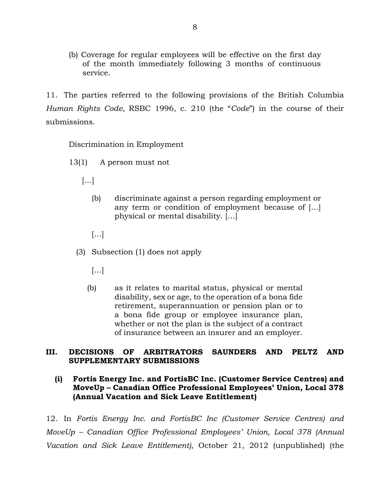(b) Coverage for regular employees will be effective on the first day of the month immediately following 3 months of continuous service.

11. The parties referred to the following provisions of the British Columbia *Human Rights Code,* RSBC 1996, c. 210 (the "*Code*") in the course of their submissions.

Discrimination in Employment

- 13(1) A person must not
	- $\left[\ldots\right]$ 
		- (b) discriminate against a person regarding employment or any term or condition of employment because of […] physical or mental disability. […]
		- […]
	- (3) Subsection (1) does not apply
		- […]
		- (b) as it relates to marital status, physical or mental disability, sex or age, to the operation of a bona fide retirement, superannuation or pension plan or to a bona fide group or employee insurance plan, whether or not the plan is the subject of a contract of insurance between an insurer and an employer.

## **III. DECISIONS OF ARBITRATORS SAUNDERS AND PELTZ AND SUPPLEMENTARY SUBMISSIONS**

## **(i) Fortis Energy Inc. and FortisBC Inc. (Customer Service Centres) and MoveUp – Canadian Office Professional Employees' Union, Local 378 (Annual Vacation and Sick Leave Entitlement)**

12. In *Fortis Energy Inc. and FortisBC Inc (Customer Service Centres) and MoveUp – Canadian Office Professional Employees' Union, Local 378 (Annual Vacation and Sick Leave Entitlement)*, October 21, 2012 (unpublished) (the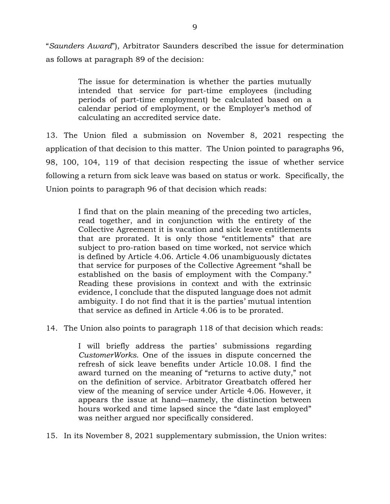"*Saunders Award*"), Arbitrator Saunders described the issue for determination as follows at paragraph 89 of the decision:

> The issue for determination is whether the parties mutually intended that service for part-time employees (including periods of part-time employment) be calculated based on a calendar period of employment, or the Employer's method of calculating an accredited service date.

13. The Union filed a submission on November 8, 2021 respecting the application of that decision to this matter. The Union pointed to paragraphs 96, 98, 100, 104, 119 of that decision respecting the issue of whether service following a return from sick leave was based on status or work. Specifically, the Union points to paragraph 96 of that decision which reads:

> I find that on the plain meaning of the preceding two articles, read together, and in conjunction with the entirety of the Collective Agreement it is vacation and sick leave entitlements that are prorated. It is only those "entitlements" that are subject to pro-ration based on time worked, not service which is defined by Article 4.06. Article 4.06 unambiguously dictates that service for purposes of the Collective Agreement "shall be established on the basis of employment with the Company." Reading these provisions in context and with the extrinsic evidence, I conclude that the disputed language does not admit ambiguity. I do not find that it is the parties' mutual intention that service as defined in Article 4.06 is to be prorated.

14. The Union also points to paragraph 118 of that decision which reads:

I will briefly address the parties' submissions regarding *CustomerWorks*. One of the issues in dispute concerned the refresh of sick leave benefits under Article 10.08. I find the award turned on the meaning of "returns to active duty," not on the definition of service. Arbitrator Greatbatch offered her view of the meaning of service under Article 4.06. However, it appears the issue at hand—namely, the distinction between hours worked and time lapsed since the "date last employed" was neither argued nor specifically considered.

15. In its November 8, 2021 supplementary submission, the Union writes: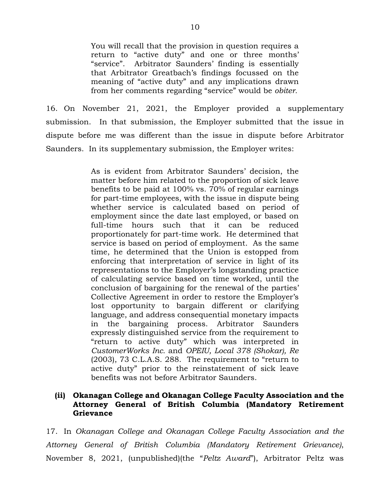You will recall that the provision in question requires a return to "active duty" and one or three months' "service". Arbitrator Saunders' finding is essentially that Arbitrator Greatbach's findings focussed on the meaning of "active duty" and any implications drawn from her comments regarding "service" would be *obiter.*

16. On November 21, 2021, the Employer provided a supplementary submission. In that submission, the Employer submitted that the issue in dispute before me was different than the issue in dispute before Arbitrator Saunders. In its supplementary submission, the Employer writes:

> As is evident from Arbitrator Saunders' decision, the matter before him related to the proportion of sick leave benefits to be paid at 100% vs. 70% of regular earnings for part-time employees, with the issue in dispute being whether service is calculated based on period of employment since the date last employed, or based on full-time hours such that it can be reduced proportionately for part-time work. He determined that service is based on period of employment. As the same time, he determined that the Union is estopped from enforcing that interpretation of service in light of its representations to the Employer's longstanding practice of calculating service based on time worked, until the conclusion of bargaining for the renewal of the parties' Collective Agreement in order to restore the Employer's lost opportunity to bargain different or clarifying language, and address consequential monetary impacts in the bargaining process. Arbitrator Saunders expressly distinguished service from the requirement to "return to active duty" which was interpreted in *CustomerWorks Inc.* and *OPEIU, Local 378 (Shokar), Re* (2003), 73 C.L.A.S. 288. The requirement to "return to active duty" prior to the reinstatement of sick leave benefits was not before Arbitrator Saunders.

### **(ii) Okanagan College and Okanagan College Faculty Association and the Attorney General of British Columbia (Mandatory Retirement Grievance**

17. In *Okanagan College and Okanagan College Faculty Association and the Attorney General of British Columbia (Mandatory Retirement Grievance)*, November 8, 2021, (unpublished)(the "*Peltz Award*"), Arbitrator Peltz was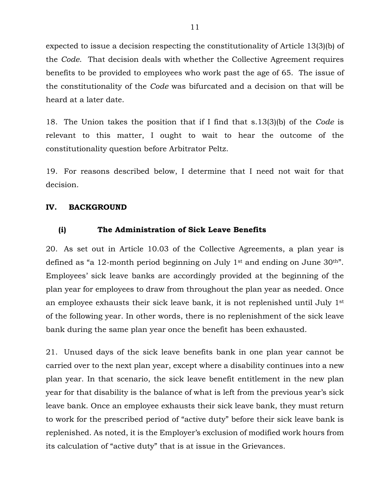expected to issue a decision respecting the constitutionality of Article 13(3)(b) of the *Code*. That decision deals with whether the Collective Agreement requires benefits to be provided to employees who work past the age of 65. The issue of the constitutionality of the *Code* was bifurcated and a decision on that will be heard at a later date.

18. The Union takes the position that if I find that s.13(3)(b) of the *Code* is relevant to this matter, I ought to wait to hear the outcome of the constitutionality question before Arbitrator Peltz.

19. For reasons described below, I determine that I need not wait for that decision.

## **IV. BACKGROUND**

## **(i) The Administration of Sick Leave Benefits**

20. As set out in Article 10.03 of the Collective Agreements, a plan year is defined as "a 12-month period beginning on July 1<sup>st</sup> and ending on June 30<sup>th</sup>". Employees' sick leave banks are accordingly provided at the beginning of the plan year for employees to draw from throughout the plan year as needed. Once an employee exhausts their sick leave bank, it is not replenished until July 1st of the following year. In other words, there is no replenishment of the sick leave bank during the same plan year once the benefit has been exhausted.

21. Unused days of the sick leave benefits bank in one plan year cannot be carried over to the next plan year, except where a disability continues into a new plan year. In that scenario, the sick leave benefit entitlement in the new plan year for that disability is the balance of what is left from the previous year's sick leave bank. Once an employee exhausts their sick leave bank, they must return to work for the prescribed period of "active duty" before their sick leave bank is replenished. As noted, it is the Employer's exclusion of modified work hours from its calculation of "active duty" that is at issue in the Grievances.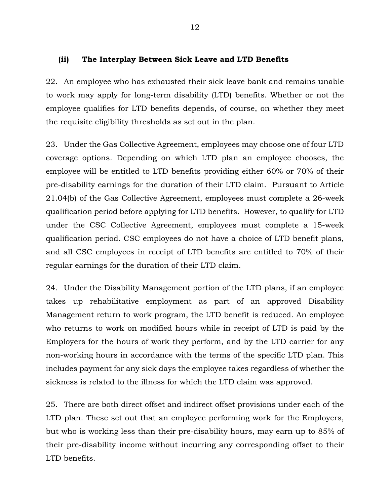### **(ii) The Interplay Between Sick Leave and LTD Benefits**

22. An employee who has exhausted their sick leave bank and remains unable to work may apply for long-term disability (LTD) benefits. Whether or not the employee qualifies for LTD benefits depends, of course, on whether they meet the requisite eligibility thresholds as set out in the plan.

23. Under the Gas Collective Agreement, employees may choose one of four LTD coverage options. Depending on which LTD plan an employee chooses, the employee will be entitled to LTD benefits providing either 60% or 70% of their pre-disability earnings for the duration of their LTD claim. Pursuant to Article 21.04(b) of the Gas Collective Agreement, employees must complete a 26-week qualification period before applying for LTD benefits. However, to qualify for LTD under the CSC Collective Agreement, employees must complete a 15-week qualification period. CSC employees do not have a choice of LTD benefit plans, and all CSC employees in receipt of LTD benefits are entitled to 70% of their regular earnings for the duration of their LTD claim.

24. Under the Disability Management portion of the LTD plans, if an employee takes up rehabilitative employment as part of an approved Disability Management return to work program, the LTD benefit is reduced. An employee who returns to work on modified hours while in receipt of LTD is paid by the Employers for the hours of work they perform, and by the LTD carrier for any non-working hours in accordance with the terms of the specific LTD plan. This includes payment for any sick days the employee takes regardless of whether the sickness is related to the illness for which the LTD claim was approved.

25. There are both direct offset and indirect offset provisions under each of the LTD plan. These set out that an employee performing work for the Employers, but who is working less than their pre-disability hours, may earn up to 85% of their pre-disability income without incurring any corresponding offset to their LTD benefits.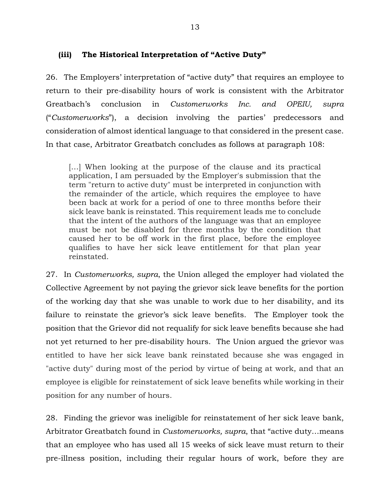## **(iii) The Historical Interpretation of "Active Duty"**

26. The Employers' interpretation of "active duty" that requires an employee to return to their pre-disability hours of work is consistent with the Arbitrator Greatbach's conclusion in *Customerworks Inc. and OPEIU, supra* ("*Customerworks*"), a decision involving the parties' predecessors and consideration of almost identical language to that considered in the present case. In that case, Arbitrator Greatbatch concludes as follows at paragraph 108:

[...] When looking at the purpose of the clause and its practical application, I am persuaded by the Employer's submission that the term "return to active duty" must be interpreted in conjunction with the remainder of the article, which requires the employee to have been back at work for a period of one to three months before their sick leave bank is reinstated. This requirement leads me to conclude that the intent of the authors of the language was that an employee must be not be disabled for three months by the condition that caused her to be off work in the first place, before the employee qualifies to have her sick leave entitlement for that plan year reinstated.

27. In *Customerworks, supra*, the Union alleged the employer had violated the Collective Agreement by not paying the grievor sick leave benefits for the portion of the working day that she was unable to work due to her disability, and its failure to reinstate the grievor's sick leave benefits. The Employer took the position that the Grievor did not requalify for sick leave benefits because she had not yet returned to her pre-disability hours. The Union argued the grievor was entitled to have her sick leave bank reinstated because she was engaged in "active duty" during most of the period by virtue of being at work, and that an employee is eligible for reinstatement of sick leave benefits while working in their position for any number of hours.

28. Finding the grievor was ineligible for reinstatement of her sick leave bank, Arbitrator Greatbatch found in *Customerworks, supra*, that "active duty…means that an employee who has used all 15 weeks of sick leave must return to their pre-illness position, including their regular hours of work, before they are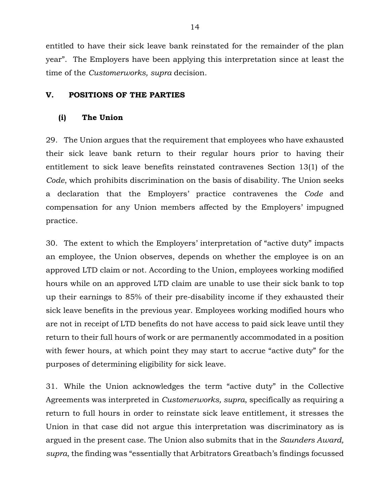entitled to have their sick leave bank reinstated for the remainder of the plan year". The Employers have been applying this interpretation since at least the time of the *Customerworks, supra* decision.

#### **V. POSITIONS OF THE PARTIES**

### **(i) The Union**

29. The Union argues that the requirement that employees who have exhausted their sick leave bank return to their regular hours prior to having their entitlement to sick leave benefits reinstated contravenes Section 13(1) of the *Code*, which prohibits discrimination on the basis of disability. The Union seeks a declaration that the Employers' practice contravenes the *Code* and compensation for any Union members affected by the Employers' impugned practice.

30. The extent to which the Employers' interpretation of "active duty" impacts an employee, the Union observes, depends on whether the employee is on an approved LTD claim or not. According to the Union, employees working modified hours while on an approved LTD claim are unable to use their sick bank to top up their earnings to 85% of their pre-disability income if they exhausted their sick leave benefits in the previous year. Employees working modified hours who are not in receipt of LTD benefits do not have access to paid sick leave until they return to their full hours of work or are permanently accommodated in a position with fewer hours, at which point they may start to accrue "active duty" for the purposes of determining eligibility for sick leave.

31. While the Union acknowledges the term "active duty" in the Collective Agreements was interpreted in *Customerworks, supra*, specifically as requiring a return to full hours in order to reinstate sick leave entitlement, it stresses the Union in that case did not argue this interpretation was discriminatory as is argued in the present case. The Union also submits that in the *Saunders Award, supra*, the finding was "essentially that Arbitrators Greatbach's findings focussed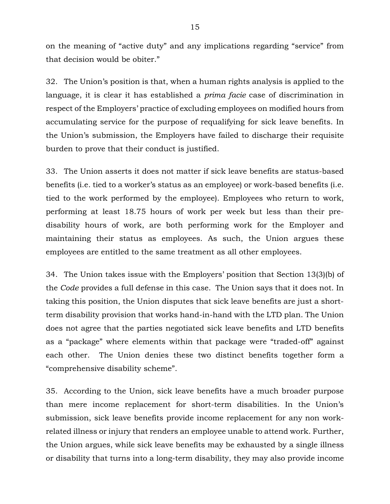on the meaning of "active duty" and any implications regarding "service" from that decision would be obiter."

32. The Union's position is that, when a human rights analysis is applied to the language, it is clear it has established a *prima facie* case of discrimination in respect of the Employers' practice of excluding employees on modified hours from accumulating service for the purpose of requalifying for sick leave benefits. In the Union's submission, the Employers have failed to discharge their requisite burden to prove that their conduct is justified.

33. The Union asserts it does not matter if sick leave benefits are status-based benefits (i.e. tied to a worker's status as an employee) or work-based benefits (i.e. tied to the work performed by the employee). Employees who return to work, performing at least 18.75 hours of work per week but less than their predisability hours of work, are both performing work for the Employer and maintaining their status as employees. As such, the Union argues these employees are entitled to the same treatment as all other employees.

34. The Union takes issue with the Employers' position that Section 13(3)(b) of the *Code* provides a full defense in this case. The Union says that it does not. In taking this position, the Union disputes that sick leave benefits are just a shortterm disability provision that works hand-in-hand with the LTD plan. The Union does not agree that the parties negotiated sick leave benefits and LTD benefits as a "package" where elements within that package were "traded-off" against each other. The Union denies these two distinct benefits together form a "comprehensive disability scheme".

35. According to the Union, sick leave benefits have a much broader purpose than mere income replacement for short-term disabilities. In the Union's submission, sick leave benefits provide income replacement for any non workrelated illness or injury that renders an employee unable to attend work. Further, the Union argues, while sick leave benefits may be exhausted by a single illness or disability that turns into a long-term disability, they may also provide income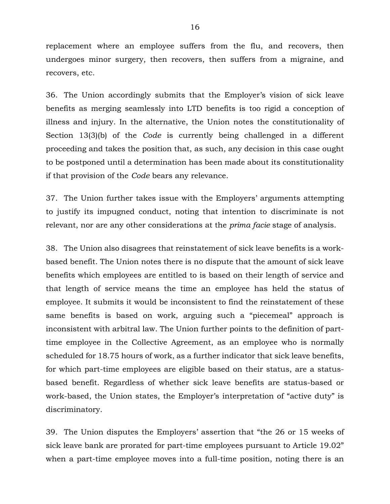replacement where an employee suffers from the flu, and recovers, then undergoes minor surgery, then recovers, then suffers from a migraine, and recovers, etc.

36. The Union accordingly submits that the Employer's vision of sick leave benefits as merging seamlessly into LTD benefits is too rigid a conception of illness and injury. In the alternative, the Union notes the constitutionality of Section 13(3)(b) of the *Code* is currently being challenged in a different proceeding and takes the position that, as such, any decision in this case ought to be postponed until a determination has been made about its constitutionality if that provision of the *Code* bears any relevance.

37. The Union further takes issue with the Employers' arguments attempting to justify its impugned conduct, noting that intention to discriminate is not relevant, nor are any other considerations at the *prima facie* stage of analysis.

38. The Union also disagrees that reinstatement of sick leave benefits is a workbased benefit. The Union notes there is no dispute that the amount of sick leave benefits which employees are entitled to is based on their length of service and that length of service means the time an employee has held the status of employee. It submits it would be inconsistent to find the reinstatement of these same benefits is based on work, arguing such a "piecemeal" approach is inconsistent with arbitral law. The Union further points to the definition of parttime employee in the Collective Agreement, as an employee who is normally scheduled for 18.75 hours of work, as a further indicator that sick leave benefits, for which part-time employees are eligible based on their status, are a statusbased benefit. Regardless of whether sick leave benefits are status-based or work-based, the Union states, the Employer's interpretation of "active duty" is discriminatory.

39. The Union disputes the Employers' assertion that "the 26 or 15 weeks of sick leave bank are prorated for part-time employees pursuant to Article 19.02" when a part-time employee moves into a full-time position, noting there is an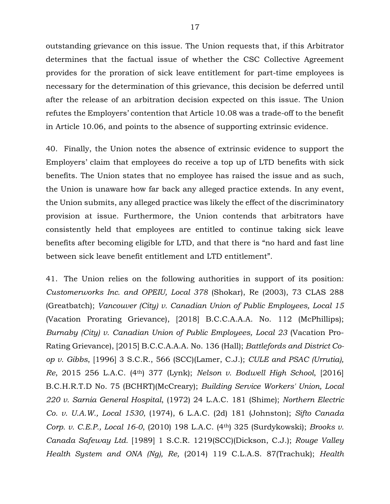outstanding grievance on this issue. The Union requests that, if this Arbitrator determines that the factual issue of whether the CSC Collective Agreement provides for the proration of sick leave entitlement for part-time employees is necessary for the determination of this grievance, this decision be deferred until after the release of an arbitration decision expected on this issue. The Union refutes the Employers' contention that Article 10.08 was a trade-off to the benefit in Article 10.06, and points to the absence of supporting extrinsic evidence.

40. Finally, the Union notes the absence of extrinsic evidence to support the Employers' claim that employees do receive a top up of LTD benefits with sick benefits. The Union states that no employee has raised the issue and as such, the Union is unaware how far back any alleged practice extends. In any event, the Union submits, any alleged practice was likely the effect of the discriminatory provision at issue. Furthermore, the Union contends that arbitrators have consistently held that employees are entitled to continue taking sick leave benefits after becoming eligible for LTD, and that there is "no hard and fast line between sick leave benefit entitlement and LTD entitlement".

41. The Union relies on the following authorities in support of its position: *Customerworks Inc. and OPEIU, Local 378* (Shokar), Re (2003), 73 CLAS 288 (Greatbatch); *Vancouver (City) v. Canadian Union of Public Employees, Local 15*  (Vacation Prorating Grievance), [2018] B.C.C.A.A.A. No. 112 (McPhillips); *Burnaby (City) v. Canadian Union of Public Employees, Local 23* (Vacation Pro-Rating Grievance), [2015] B.C.C.A.A.A. No. 136 (Hall); *Battlefords and District Coop v. Gibbs*, [1996] 3 S.C.R., 566 (SCC)(Lamer, C.J.); *CULE and PSAC (Urrutia), Re*, 2015 256 L.A.C. (4th) 377 (Lynk); *Nelson v. Bodwell High School*, [2016] B.C.H.R.T.D No. 75 (BCHRT)(McCreary); *Building Service Workers' Union, Local 220 v. Sarnia General Hospital*, (1972) 24 L.A.C. 181 (Shime); *Northern Electric Co. v. U.A.W., Local 1530*, (1974), 6 L.A.C. (2d) 181 (Johnston); *Sifto Canada Corp. v. C.E.P., Local 16-0*, (2010) 198 L.A.C. (4th) 325 (Surdykowski); *Brooks v. Canada Safeway Ltd.* [1989] 1 S.C.R. 1219(SCC)(Dickson, C.J.); *Rouge Valley Health System and ONA (Ng), Re,* (2014) 119 C.L.A.S. 87(Trachuk); *Health*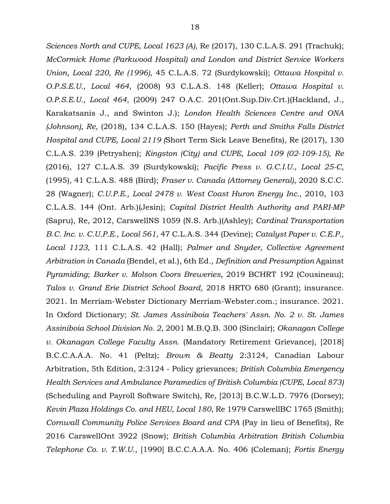*Sciences North and CUPE, Local 1623 (A)*, Re (2017), 130 C.L.A.S. 291 (Trachuk); *McCormick Home (Parkwood Hospital) and London and District Service Workers Union, Local 220, Re (1996)*, 45 C.L.A.S. 72 (Surdykowski); *Ottawa Hospital v. O.P.S.E.U., Local 464*, (2008) 93 C.L.A.S. 148 (Keller); *Ottawa Hospital v. O.P.S.E.U., Local 464*, (2009) 247 O.A.C. 201(Ont.Sup.Div.Crt.)(Hackland, J., Karakatsanis J., and Swinton J.); *London Health Sciences Centre and ONA (Johnson), Re*, (2018), 134 C.L.A.S. 150 (Hayes); *Perth and Smiths Falls District Hospital and CUPE, Local 2119 (*Short Term Sick Leave Benefits), Re (2017), 130 C.L.A.S. 239 (Petryshen); *Kingston (City) and CUPE, Local 109 (02-109-15), Re* (2016), 127 C.L.A.S. 39 (Surdykowski); *Pacific Press v. G.C.I.U., Local 25-C,* (1995), 41 C.L.A.S. 488 (Bird); *Fraser v. Canada (Attorney General)*, 2020 S.C.C. 28 (Wagner); *C.U.P.E., Local 2478 v. West Coast Huron Energy Inc.*, 2010, 103 C.L.A.S. 144 (Ont. Arb.)(Jesin); *Capital District Health Authority and PARI-MP*  (Sapru), Re, 2012, CarswellNS 1059 (N.S. Arb.)(Ashley); *Cardinal Transportation B.C. Inc. v. C.U.P.E., Local 561*, 47 C.L.A.S. 344 (Devine); *Catalyst Paper v. C.E.P., Local 1123*, 111 C.L.A.S. 42 (Hall); *Palmer and Snyder, Collective Agreement Arbitration in Canada* (Bendel, et al.), 6th Ed., *Definition and Presumption* Against *Pyramiding*; *Barker v. Molson Coors Breweries*, 2019 BCHRT 192 (Cousineau); *Talos v. Grand Erie District School Board*, 2018 HRTO 680 (Grant); insurance. 2021. In Merriam-Webster Dictionary Merriam-Webster.com.; insurance. 2021. In Oxford Dictionary; *St. James Assiniboia Teachers' Assn. No. 2 v. St. James Assiniboia School Division No. 2*, 2001 M.B.Q.B. 300 (Sinclair); *Okanagan College v. Okanagan College Faculty Assn.* (Mandatory Retirement Grievance), [2018] B.C.C.A.A.A. No. 41 (Peltz); *Brown & Beatty* 2:3124, Canadian Labour Arbitration, 5th Edition, 2:3124 - Policy grievances; *British Columbia Emergency Health Services and Ambulance Paramedics of British Columbia (CUPE, Local 873)* (Scheduling and Payroll Software Switch), Re, [2013] B.C.W.L.D. 7976 (Dorsey); *Kevin Plaza Holdings Co. and HEU, Local 180*, Re 1979 CarswellBC 1765 (Smith); *Cornwall Community Police Services Board and CPA* (Pay in lieu of Benefits), Re 2016 CarswellOnt 3922 (Snow); *British Columbia Arbitration British Columbia Telephone Co. v. T.W.U.*, [1990] B.C.C.A.A.A. No. 406 (Coleman); *Fortis Energy*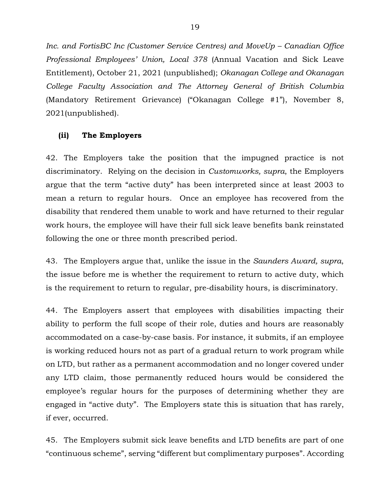*Inc. and FortisBC Inc (Customer Service Centres) and MoveUp – Canadian Office Professional Employees' Union, Local 378* (Annual Vacation and Sick Leave Entitlement), October 21, 2021 (unpublished); *Okanagan College and Okanagan College Faculty Association and The Attorney General of British Columbia*  (Mandatory Retirement Grievance) ("Okanagan College #1"), November 8, 2021(unpublished).

#### **(ii) The Employers**

42. The Employers take the position that the impugned practice is not discriminatory. Relying on the decision in *Customworks, supra*, the Employers argue that the term "active duty" has been interpreted since at least 2003 to mean a return to regular hours. Once an employee has recovered from the disability that rendered them unable to work and have returned to their regular work hours, the employee will have their full sick leave benefits bank reinstated following the one or three month prescribed period.

43. The Employers argue that, unlike the issue in the *Saunders Award, supra*, the issue before me is whether the requirement to return to active duty, which is the requirement to return to regular, pre-disability hours, is discriminatory.

44. The Employers assert that employees with disabilities impacting their ability to perform the full scope of their role, duties and hours are reasonably accommodated on a case-by-case basis. For instance, it submits, if an employee is working reduced hours not as part of a gradual return to work program while on LTD, but rather as a permanent accommodation and no longer covered under any LTD claim, those permanently reduced hours would be considered the employee's regular hours for the purposes of determining whether they are engaged in "active duty". The Employers state this is situation that has rarely, if ever, occurred.

45. The Employers submit sick leave benefits and LTD benefits are part of one "continuous scheme", serving "different but complimentary purposes". According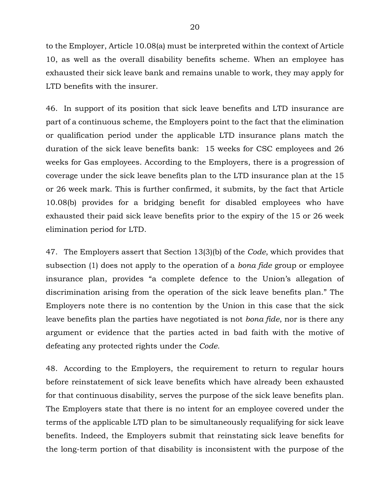to the Employer, Article 10.08(a) must be interpreted within the context of Article 10, as well as the overall disability benefits scheme. When an employee has exhausted their sick leave bank and remains unable to work, they may apply for LTD benefits with the insurer.

46. In support of its position that sick leave benefits and LTD insurance are part of a continuous scheme, the Employers point to the fact that the elimination or qualification period under the applicable LTD insurance plans match the duration of the sick leave benefits bank: 15 weeks for CSC employees and 26 weeks for Gas employees. According to the Employers, there is a progression of coverage under the sick leave benefits plan to the LTD insurance plan at the 15 or 26 week mark. This is further confirmed, it submits, by the fact that Article 10.08(b) provides for a bridging benefit for disabled employees who have exhausted their paid sick leave benefits prior to the expiry of the 15 or 26 week elimination period for LTD.

47. The Employers assert that Section 13(3)(b) of the *Code*, which provides that subsection (1) does not apply to the operation of a *bona fide* group or employee insurance plan, provides "a complete defence to the Union's allegation of discrimination arising from the operation of the sick leave benefits plan." The Employers note there is no contention by the Union in this case that the sick leave benefits plan the parties have negotiated is not *bona fide*, nor is there any argument or evidence that the parties acted in bad faith with the motive of defeating any protected rights under the *Code.*

48. According to the Employers, the requirement to return to regular hours before reinstatement of sick leave benefits which have already been exhausted for that continuous disability, serves the purpose of the sick leave benefits plan. The Employers state that there is no intent for an employee covered under the terms of the applicable LTD plan to be simultaneously requalifying for sick leave benefits. Indeed, the Employers submit that reinstating sick leave benefits for the long-term portion of that disability is inconsistent with the purpose of the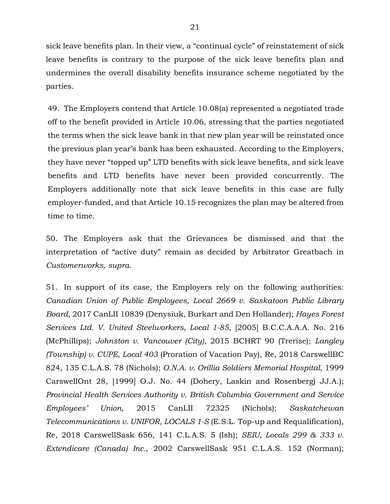sick leave benefits plan. In their view, a "continual cycle" of reinstatement of sick leave benefits is contrary to the purpose of the sick leave benefits plan and undermines the overall disability benefits insurance scheme negotiated by the parties.

49. The Employers contend that Article 10.08(a) represented a negotiated trade off to the benefit provided in Article 10.06, stressing that the parties negotiated the terms when the sick leave bank in that new plan year will be reinstated once the previous plan year's bank has been exhausted. According to the Employers, they have never "topped up" LTD benefits with sick leave benefits, and sick leave benefits and LTD benefits have never been provided concurrently. The Employers additionally note that sick leave benefits in this case are fully employer-funded, and that Article 10.15 recognizes the plan may be altered from time to time.

50. The Employers ask that the Grievances be dismissed and that the interpretation of "active duty" remain as decided by Arbitrator Greatbach in *Customerworks, supra*.

51. In support of its case, the Employers rely on the following authorities: *Canadian Union of Public Employees, Local 2669 v. Saskatoon Public Library Board*, 2017 CanLII 10839 (Denysiuk, Burkart and Den Hollander); *Hayes Forest Services Ltd. V. United Steelworkers, Local 1-85*, [2005] B.C.C.A.A.A. No. 216 (McPhillips); *Johnston v. Vancouver (City)*, 2015 BCHRT 90 (Trerise); *Langley (Township) v. CUPE, Local 403* (Proration of Vacation Pay), Re, 2018 CarswellBC 824, 135 C.L.A.S. 78 (Nichols); *O.N.A. v. Orillia Soldiers Memorial Hospital*, 1999 CarswellOnt 28, [1999] O.J. No. 44 (Dohery, Laskin and Rosenberg) JJ.A.); *Provincial Health Services Authority v. British Columbia Government and Service Employees' Union*, 2015 CanLII 72325 (Nichols); *Saskatchewan Telecommunications v. UNIFOR, LOCALS 1-S* (E.S.L. Top-up and Requalification), Re, 2018 CarswellSask 656, 141 C.L.A.S. 5 (Ish); *SEIU, Locals 299 & 333 v. Extendicare (Canada) Inc.*, 2002 CarswellSask 951 C.L.A.S. 152 (Norman);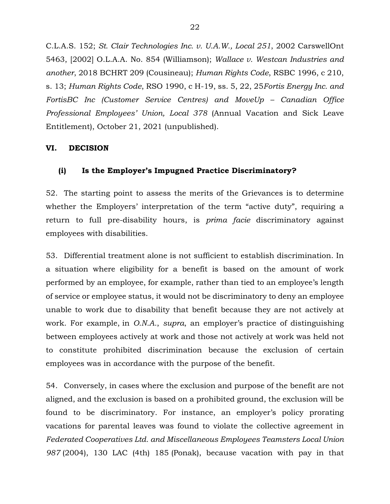C.L.A.S. 152; *St. Clair Technologies Inc. v. U.A.W., Local 251*, 2002 CarswellOnt 5463, [2002] O.L.A.A. No. 854 (Williamson); *Wallace v. Westcan Industries and another*, 2018 BCHRT 209 (Cousineau); *Human Rights Code*, RSBC 1996, c 210, s. 13; *Human Rights Code*, RSO 1990, c H-19, ss. 5, 22, 25*Fortis Energy Inc. and FortisBC Inc (Customer Service Centres) and MoveUp – Canadian Office Professional Employees' Union, Local 378* (Annual Vacation and Sick Leave Entitlement), October 21, 2021 (unpublished).

### **VI. DECISION**

### **(i) Is the Employer's Impugned Practice Discriminatory?**

52. The starting point to assess the merits of the Grievances is to determine whether the Employers' interpretation of the term "active duty", requiring a return to full pre-disability hours, is *prima facie* discriminatory against employees with disabilities.

53. Differential treatment alone is not sufficient to establish discrimination. In a situation where eligibility for a benefit is based on the amount of work performed by an employee, for example, rather than tied to an employee's length of service or employee status, it would not be discriminatory to deny an employee unable to work due to disability that benefit because they are not actively at work. For example, in *O.N.A.*, *supra*, an employer's practice of distinguishing between employees actively at work and those not actively at work was held not to constitute prohibited discrimination because the exclusion of certain employees was in accordance with the purpose of the benefit.

54. Conversely, in cases where the exclusion and purpose of the benefit are not aligned, and the exclusion is based on a prohibited ground, the exclusion will be found to be discriminatory. For instance, an employer's policy prorating vacations for parental leaves was found to violate the collective agreement in *Federated Cooperatives Ltd. and Miscellaneous Employees Teamsters Local Union 987* [\(2004\),](https://advance.lexis.com/search/?pdmfid=1505209&crid=324c5272-60c1-41e7-b5a5-cdf87a6634d4&pdsearchterms=2015+bccaaa+no+136&pdicsfeatureid=1517129&pdstartin=hlct%3A1%3A11&pdcaseshlctselectedbyuser=false&pdtypeofsearch=searchboxclick&pdsearchtype=SearchBox&pdqttype=or&pdquerytemplateid=&ecomp=J3n8k&prid=8316a7bd-c5ef-4128-b879-c7cd704be3ad) 130 LAC (4th) 185 (Ponak), because vacation with pay in that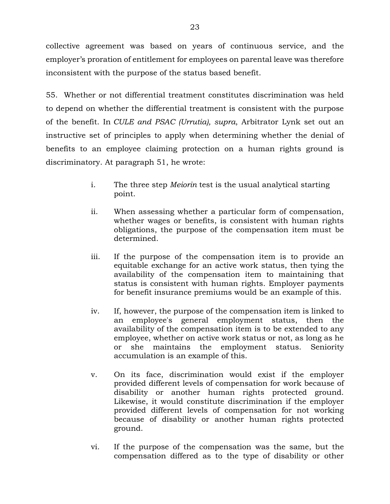collective agreement was based on years of continuous service, and the employer's proration of entitlement for employees on parental leave was therefore inconsistent with the purpose of the status based benefit.

55. Whether or not differential treatment constitutes discrimination was held to depend on whether the differential treatment is consistent with the purpose of the benefit. In *CULE and PSAC (Urrutia), supra*, Arbitrator Lynk set out an instructive set of principles to apply when determining whether the denial of benefits to an employee claiming protection on a human rights ground is discriminatory. At paragraph 51, he wrote:

- i. The three step *Meiorin* test is the usual analytical starting point.
- ii. When assessing whether a particular form of compensation, whether wages or benefits, is consistent with human rights obligations, the purpose of the compensation item must be determined.
- iii. If the purpose of the compensation item is to provide an equitable exchange for an active work status, then tying the availability of the compensation item to maintaining that status is consistent with human rights. Employer payments for benefit insurance premiums would be an example of this.
- iv. If, however, the purpose of the compensation item is linked to an employee's general employment status, then the availability of the compensation item is to be extended to any employee, whether on active work status or not, as long as he or she maintains the employment status. Seniority accumulation is an example of this.
- v. On its face, discrimination would exist if the employer provided different levels of compensation for work because of disability or another human rights protected ground. Likewise, it would constitute discrimination if the employer provided different levels of compensation for not working because of disability or another human rights protected ground.
- vi. If the purpose of the compensation was the same, but the compensation differed as to the type of disability or other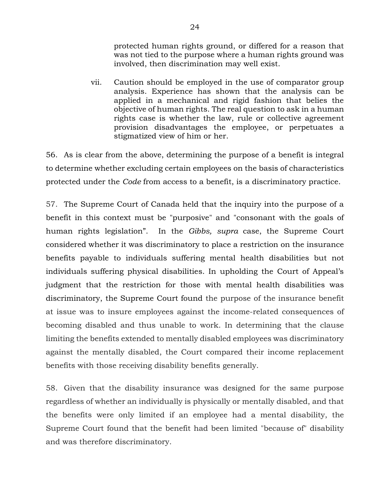protected human rights ground, or differed for a reason that was not tied to the purpose where a human rights ground was involved, then discrimination may well exist.

vii. Caution should be employed in the use of comparator group analysis. Experience has shown that the analysis can be applied in a mechanical and rigid fashion that belies the objective of human rights. The real question to ask in a human rights case is whether the law, rule or collective agreement provision disadvantages the employee, or perpetuates a stigmatized view of him or her.

56. As is clear from the above, determining the purpose of a benefit is integral to determine whether excluding certain employees on the basis of characteristics protected under the *Code* from access to a benefit, is a discriminatory practice.

57. The Supreme Court of Canada held that the inquiry into the purpose of a benefit in this context must be "purposive" and "consonant with the goals of human rights legislation". In the *Gibbs, supra* case, the Supreme Court considered whether it was discriminatory to place a restriction on the insurance benefits payable to individuals suffering mental health disabilities but not individuals suffering physical disabilities. In upholding the Court of Appeal's judgment that the restriction for those with mental health disabilities was discriminatory, the Supreme Court found the purpose of the insurance benefit at issue was to insure employees against the income-related consequences of becoming disabled and thus unable to work. In determining that the clause limiting the benefits extended to mentally disabled employees was discriminatory against the mentally disabled, the Court compared their income replacement benefits with those receiving disability benefits generally.

58. Given that the disability insurance was designed for the same purpose regardless of whether an individually is physically or mentally disabled, and that the benefits were only limited if an employee had a mental disability, the Supreme Court found that the benefit had been limited "because of" disability and was therefore discriminatory.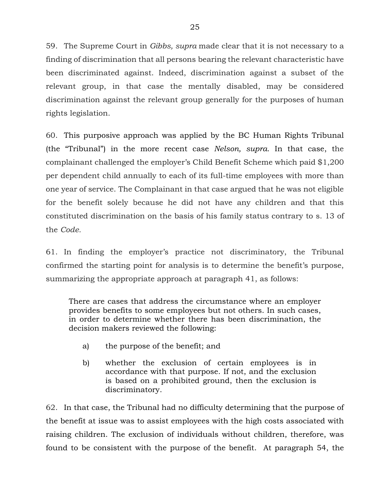59. The Supreme Court in *Gibbs, supra* made clear that it is not necessary to a finding of discrimination that all persons bearing the relevant characteristic have been discriminated against. Indeed, discrimination against a subset of the relevant group, in that case the mentally disabled, may be considered discrimination against the relevant group generally for the purposes of human rights legislation.

60. This purposive approach was applied by the BC Human Rights Tribunal (the "Tribunal") in the more recent case *Nelson, supra*. In that case, the complainant challenged the employer's Child Benefit Scheme which paid \$1,200 per dependent child annually to each of its full-time employees with more than one year of service. The Complainant in that case argued that he was not eligible for the benefit solely because he did not have any children and that this constituted discrimination on the basis of his family status contrary to s. 13 of the *Code.*

61. In finding the employer's practice not discriminatory, the Tribunal confirmed the starting point for analysis is to determine the benefit's purpose, summarizing the appropriate approach at paragraph 41, as follows:

There are cases that address the circumstance where an employer provides benefits to some employees but not others. In such cases, in order to determine whether there has been discrimination, the decision makers reviewed the following:

- a) the purpose of the benefit; and
- b) whether the exclusion of certain employees is in accordance with that purpose. If not, and the exclusion is based on a prohibited ground, then the exclusion is discriminatory.

62. In that case, the Tribunal had no difficulty determining that the purpose of the benefit at issue was to assist employees with the high costs associated with raising children. The exclusion of individuals without children, therefore, was found to be consistent with the purpose of the benefit. At paragraph 54, the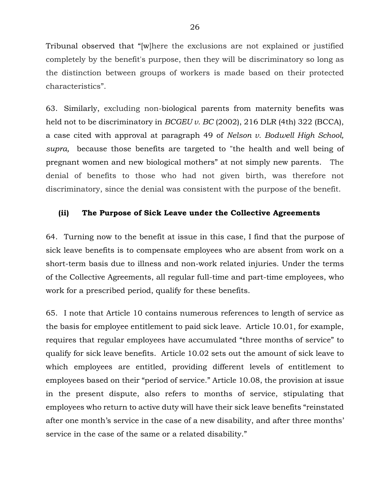Tribunal observed that "[w]here the exclusions are not explained or justified completely by the benefit's purpose, then they will be discriminatory so long as the distinction between groups of workers is made based on their protected characteristics".

63. Similarly, excluding non-biological parents from maternity benefits was held not to be discriminatory in *BCGEU v. BC* [\(2002\),](https://advance.lexis.com/search/?pdmfid=1505209&crid=f94c0b16-648f-46b9-b5a1-e85984dbe2f2&pdsearchterms=2016+bchrtd+no+75&pdicsfeatureid=1517129&pdstartin=hlct%3A1%3A11&pdcaseshlctselectedbyuser=false&pdtypeofsearch=searchboxclick&pdsearchtype=SearchBox&pdqttype=or&pdpsf=%3A%3A1&pdquerytemplateid=&ecomp=_dkt9kk&earg=pdpsf&prid=1006699d-c724-4c7b-8704-ca904be0676e) 216 DLR (4th) 322 (BCCA), a case cited with approval at paragraph 49 of *Nelson v. Bodwell High School, supra,* because those benefits are targeted to "the health and well being of pregnant women and new biological mothers" at not simply new parents. The denial of benefits to those who had not given birth, was therefore not discriminatory, since the denial was consistent with the purpose of the benefit.

#### **(ii) The Purpose of Sick Leave under the Collective Agreements**

64. Turning now to the benefit at issue in this case, I find that the purpose of sick leave benefits is to compensate employees who are absent from work on a short-term basis due to illness and non-work related injuries. Under the terms of the Collective Agreements, all regular full-time and part-time employees, who work for a prescribed period, qualify for these benefits.

65. I note that Article 10 contains numerous references to length of service as the basis for employee entitlement to paid sick leave. Article 10.01, for example, requires that regular employees have accumulated "three months of service" to qualify for sick leave benefits. Article 10.02 sets out the amount of sick leave to which employees are entitled, providing different levels of entitlement to employees based on their "period of service." Article 10.08, the provision at issue in the present dispute, also refers to months of service, stipulating that employees who return to active duty will have their sick leave benefits "reinstated after one month's service in the case of a new disability, and after three months' service in the case of the same or a related disability."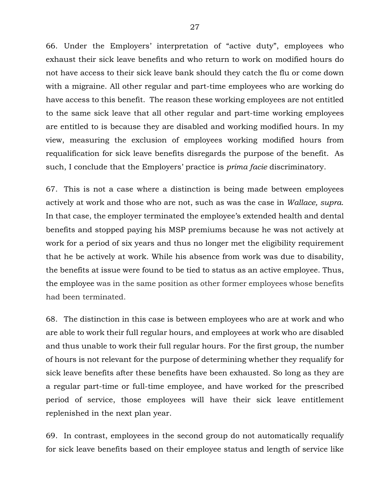66. Under the Employers' interpretation of "active duty", employees who exhaust their sick leave benefits and who return to work on modified hours do not have access to their sick leave bank should they catch the flu or come down with a migraine. All other regular and part-time employees who are working do have access to this benefit. The reason these working employees are not entitled to the same sick leave that all other regular and part-time working employees are entitled to is because they are disabled and working modified hours. In my view, measuring the exclusion of employees working modified hours from requalification for sick leave benefits disregards the purpose of the benefit. As such, I conclude that the Employers' practice is *prima facie* discriminatory.

67. This is not a case where a distinction is being made between employees actively at work and those who are not, such as was the case in *Wallace, supra*. In that case, the employer terminated the employee's extended health and dental benefits and stopped paying his MSP premiums because he was not actively at work for a period of six years and thus no longer met the eligibility requirement that he be actively at work. While his absence from work was due to disability, the benefits at issue were found to be tied to status as an active employee. Thus, the employee was in the same position as other former employees whose benefits had been terminated.

68. The distinction in this case is between employees who are at work and who are able to work their full regular hours, and employees at work who are disabled and thus unable to work their full regular hours. For the first group, the number of hours is not relevant for the purpose of determining whether they requalify for sick leave benefits after these benefits have been exhausted. So long as they are a regular part-time or full-time employee, and have worked for the prescribed period of service, those employees will have their sick leave entitlement replenished in the next plan year.

69. In contrast, employees in the second group do not automatically requalify for sick leave benefits based on their employee status and length of service like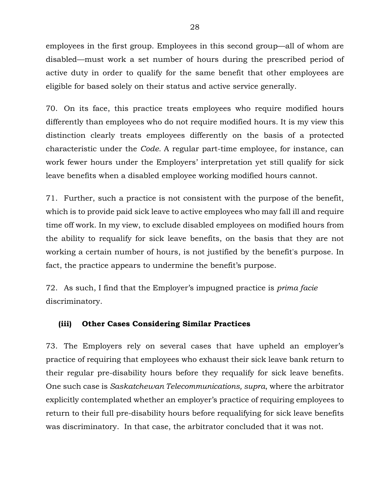employees in the first group. Employees in this second group—all of whom are disabled—must work a set number of hours during the prescribed period of active duty in order to qualify for the same benefit that other employees are eligible for based solely on their status and active service generally.

70. On its face, this practice treats employees who require modified hours differently than employees who do not require modified hours. It is my view this distinction clearly treats employees differently on the basis of a protected characteristic under the *Code.* A regular part-time employee, for instance, can work fewer hours under the Employers' interpretation yet still qualify for sick leave benefits when a disabled employee working modified hours cannot.

71. Further, such a practice is not consistent with the purpose of the benefit, which is to provide paid sick leave to active employees who may fall ill and require time off work. In my view, to exclude disabled employees on modified hours from the ability to requalify for sick leave benefits, on the basis that they are not working a certain number of hours, is not justified by the benefit's purpose. In fact, the practice appears to undermine the benefit's purpose.

72. As such, I find that the Employer's impugned practice is *prima facie*  discriminatory.

#### **(iii) Other Cases Considering Similar Practices**

73. The Employers rely on several cases that have upheld an employer's practice of requiring that employees who exhaust their sick leave bank return to their regular pre-disability hours before they requalify for sick leave benefits. One such case is *Saskatchewan Telecommunications, supra*, where the arbitrator explicitly contemplated whether an employer's practice of requiring employees to return to their full pre-disability hours before requalifying for sick leave benefits was discriminatory. In that case, the arbitrator concluded that it was not.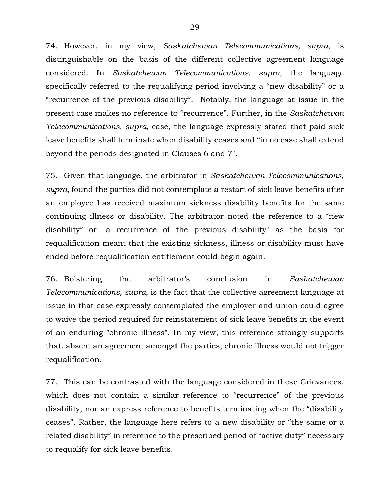74. However, in my view, *Saskatchewan Telecommunications, supra*, is distinguishable on the basis of the different collective agreement language considered. In *Saskatchewan Telecommunications, supra,* the language specifically referred to the requalifying period involving a "new disability" or a "recurrence of the previous disability". Notably, the language at issue in the present case makes no reference to "recurrence". Further, in the *Saskatchewan Telecommunications, supra,* case, the language expressly stated that paid sick leave benefits shall terminate when disability ceases and "in no case shall extend beyond the periods designated in [Clauses 6](https://nextcanada.westlaw.com/Link/Document/FullText?findType=Y&serNum=0280573592&pubNum=134158&originatingDoc=I90807bccd5f326dae0540010e03eefe2&refType=IG&docFamilyGuid=I6d85b798f46e11d99f28ffa0ae8c2575&targetPreference=DocLanguage%3aEN&originationContext=document&transitionType=DocumentItem&contextData=(sc.Default)) and [7"](https://nextcanada.westlaw.com/Link/Document/FullText?findType=Y&serNum=0280375728&pubNum=134158&originatingDoc=I90807bccd5f326dae0540010e03eefe2&refType=IG&docFamilyGuid=I949d0008f46d11d99f28ffa0ae8c2575&targetPreference=DocLanguage%3aEN&originationContext=document&transitionType=DocumentItem&contextData=(sc.Default)).

75. Given that language, the arbitrator in *Saskatchewan Telecommunications, supra,* found the parties did not contemplate a restart of sick leave benefits after an employee has received maximum sickness disability benefits for the same continuing illness or disability. The arbitrator noted the reference to a "new disability" or "a recurrence of the previous disability" as the basis for requalification meant that the existing sickness, illness or disability must have ended before requalification entitlement could begin again.

76. Bolstering the arbitrator's conclusion in *Saskatchewan Telecommunications, supra*, is the fact that the collective agreement language at issue in that case expressly contemplated the employer and union could agree to waive the period required for reinstatement of sick leave benefits in the event of an enduring "chronic illness". In my view, this reference strongly supports that, absent an agreement amongst the parties, chronic illness would not trigger requalification.

77. This can be contrasted with the language considered in these Grievances, which does not contain a similar reference to "recurrence" of the previous disability, nor an express reference to benefits terminating when the "disability ceases". Rather, the language here refers to a new disability or "the same or a related disability" in reference to the prescribed period of "active duty" necessary to requalify for sick leave benefits.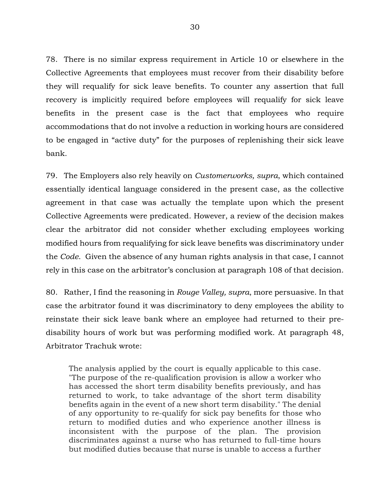78. There is no similar express requirement in Article 10 or elsewhere in the Collective Agreements that employees must recover from their disability before they will requalify for sick leave benefits. To counter any assertion that full recovery is implicitly required before employees will requalify for sick leave benefits in the present case is the fact that employees who require accommodations that do not involve a reduction in working hours are considered to be engaged in "active duty" for the purposes of replenishing their sick leave bank.

79. The Employers also rely heavily on *Customerworks, supra*, which contained essentially identical language considered in the present case, as the collective agreement in that case was actually the template upon which the present Collective Agreements were predicated. However, a review of the decision makes clear the arbitrator did not consider whether excluding employees working modified hours from requalifying for sick leave benefits was discriminatory under the *Code*. Given the absence of any human rights analysis in that case, I cannot rely in this case on the arbitrator's conclusion at paragraph 108 of that decision.

80. Rather, I find the reasoning in *Rouge Valley, supra*, more persuasive. In that case the arbitrator found it was discriminatory to deny employees the ability to reinstate their sick leave bank where an employee had returned to their predisability hours of work but was performing modified work. At paragraph 48, Arbitrator Trachuk wrote:

The analysis applied by the court is equally applicable to this case. "The purpose of the re-qualification provision is allow a worker who has accessed the short term disability benefits previously, and has returned to work, to take advantage of the short term disability benefits again in the event of a new short term disability." The denial of any opportunity to re-qualify for sick pay benefits for those who return to modified duties and who experience another illness is inconsistent with the purpose of the plan. The provision discriminates against a nurse who has returned to full-time hours but modified duties because that nurse is unable to access a further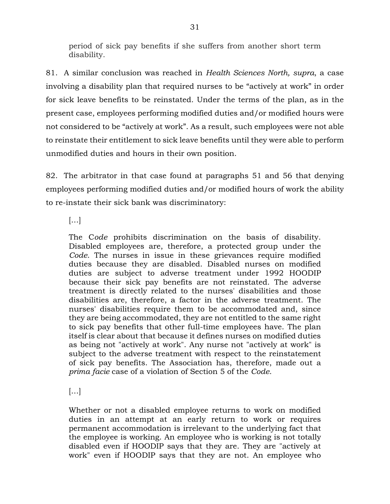period of sick pay benefits if she suffers from another short term disability.

81. A similar conclusion was reached in *Health Sciences North, supra*, a case involving a disability plan that required nurses to be "actively at work" in order for sick leave benefits to be reinstated. Under the terms of the plan, as in the present case, employees performing modified duties and/or modified hours were not considered to be "actively at work". As a result, such employees were not able to reinstate their entitlement to sick leave benefits until they were able to perform unmodified duties and hours in their own position.

82. The arbitrator in that case found at paragraphs 51 and 56 that denying employees performing modified duties and/or modified hours of work the ability to re-instate their sick bank was discriminatory:

[…]

The C*ode* prohibits discrimination on the basis of disability. Disabled employees are, therefore, a protected group under the *Code*. The nurses in issue in these grievances require modified duties because they are disabled. Disabled nurses on modified duties are subject to adverse treatment under 1992 HOODIP because their sick pay benefits are not reinstated. The adverse treatment is directly related to the nurses' disabilities and those disabilities are, therefore, a factor in the adverse treatment. The nurses' disabilities require them to be accommodated and, since they are being accommodated, they are not entitled to the same right to sick pay benefits that other full-time employees have. The plan itself is clear about that because it defines nurses on modified duties as being not "actively at work". Any nurse not "actively at work" is subject to the adverse treatment with respect to the reinstatement of sick pay benefits. The Association has, therefore, made out a *prima facie* case of a violation of Section 5 of the *Code*.

[…]

Whether or not a disabled employee returns to work on modified duties in an attempt at an early return to work or requires permanent accommodation is irrelevant to the underlying fact that the employee is working. An employee who is working is not totally disabled even if HOODIP says that they are. They are "actively at work" even if HOODIP says that they are not. An employee who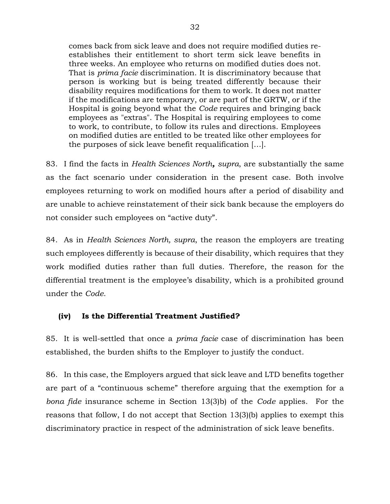comes back from sick leave and does not require modified duties reestablishes their entitlement to short term sick leave benefits in three weeks. An employee who returns on modified duties does not. That is *prima facie* discrimination. It is discriminatory because that person is working but is being treated differently because their disability requires modifications for them to work. It does not matter if the modifications are temporary, or are part of the GRTW, or if the Hospital is going beyond what the *Code* requires and bringing back employees as "extras". The Hospital is requiring employees to come to work, to contribute, to follow its rules and directions. Employees on modified duties are entitled to be treated like other employees for the purposes of sick leave benefit requalification […].

83. I find the facts in *Health Sciences North, supra*, are substantially the same as the fact scenario under consideration in the present case. Both involve employees returning to work on modified hours after a period of disability and are unable to achieve reinstatement of their sick bank because the employers do not consider such employees on "active duty".

84. As in *Health Sciences North, supra*, the reason the employers are treating such employees differently is because of their disability, which requires that they work modified duties rather than full duties. Therefore, the reason for the differential treatment is the employee's disability, which is a prohibited ground under the *Code*.

# **(iv) Is the Differential Treatment Justified?**

85. It is well-settled that once a *prima facie* case of discrimination has been established, the burden shifts to the Employer to justify the conduct.

86. In this case, the Employers argued that sick leave and LTD benefits together are part of a "continuous scheme" therefore arguing that the exemption for a *bona fide* insurance scheme in Section 13(3)b) of the *Code* applies. For the reasons that follow, I do not accept that Section 13(3)(b) applies to exempt this discriminatory practice in respect of the administration of sick leave benefits.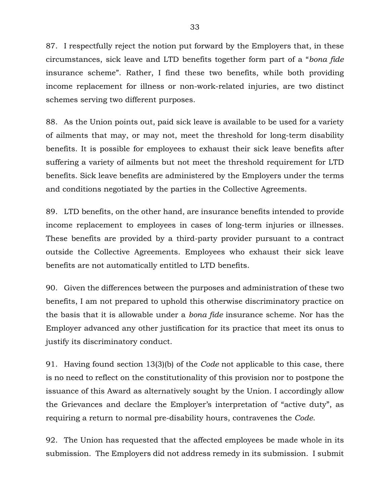87. I respectfully reject the notion put forward by the Employers that, in these circumstances, sick leave and LTD benefits together form part of a "*bona fide* insurance scheme". Rather, I find these two benefits, while both providing income replacement for illness or non-work-related injuries, are two distinct schemes serving two different purposes.

88. As the Union points out, paid sick leave is available to be used for a variety of ailments that may, or may not, meet the threshold for long-term disability benefits. It is possible for employees to exhaust their sick leave benefits after suffering a variety of ailments but not meet the threshold requirement for LTD benefits. Sick leave benefits are administered by the Employers under the terms and conditions negotiated by the parties in the Collective Agreements.

89. LTD benefits, on the other hand, are insurance benefits intended to provide income replacement to employees in cases of long-term injuries or illnesses. These benefits are provided by a third-party provider pursuant to a contract outside the Collective Agreements. Employees who exhaust their sick leave benefits are not automatically entitled to LTD benefits.

90. Given the differences between the purposes and administration of these two benefits, I am not prepared to uphold this otherwise discriminatory practice on the basis that it is allowable under a *bona fide* insurance scheme. Nor has the Employer advanced any other justification for its practice that meet its onus to justify its discriminatory conduct.

91. Having found section 13(3)(b) of the *Code* not applicable to this case, there is no need to reflect on the constitutionality of this provision nor to postpone the issuance of this Award as alternatively sought by the Union. I accordingly allow the Grievances and declare the Employer's interpretation of "active duty", as requiring a return to normal pre-disability hours, contravenes the *Code*.

92. The Union has requested that the affected employees be made whole in its submission. The Employers did not address remedy in its submission. I submit